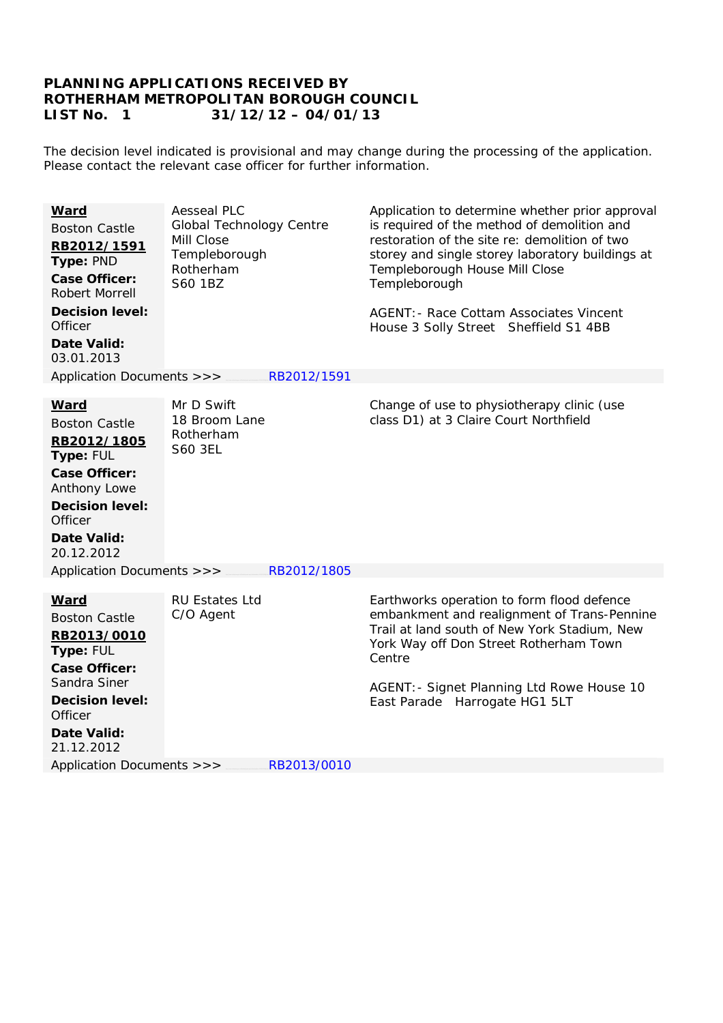## **PLANNING APPLICATIONS RECEIVED BY ROTHERHAM METROPOLITAN BOROUGH COUNCIL LIST No. 1 31/12/12 – 04/01/13**

The decision level indicated is provisional and may change during the processing of the application. Please contact the relevant case officer for further information.

| <b>Aesseal PLC</b><br>Application to determine whether prior approval<br><b>Ward</b><br>is required of the method of demolition and<br><b>Global Technology Centre</b><br><b>Boston Castle</b><br>Mill Close<br>restoration of the site re: demolition of two<br>RB2012/1591<br>Templeborough<br>storey and single storey laboratory buildings at<br>Type: PND<br>Rotherham<br>Templeborough House Mill Close<br><b>Case Officer:</b><br>S60 1BZ<br>Templeborough<br><b>Robert Morrell</b><br><b>Decision level:</b><br><b>AGENT: - Race Cottam Associates Vincent</b><br>Officer<br>House 3 Solly Street Sheffield S1 4BB<br><b>Date Valid:</b><br>03.01.2013 |  |
|----------------------------------------------------------------------------------------------------------------------------------------------------------------------------------------------------------------------------------------------------------------------------------------------------------------------------------------------------------------------------------------------------------------------------------------------------------------------------------------------------------------------------------------------------------------------------------------------------------------------------------------------------------------|--|
| Application Documents >>><br>RB2012/1591                                                                                                                                                                                                                                                                                                                                                                                                                                                                                                                                                                                                                       |  |
| Mr D Swift<br>Change of use to physiotherapy clinic (use<br><b>Ward</b><br>class D1) at 3 Claire Court Northfield<br>18 Broom Lane<br><b>Boston Castle</b><br>Rotherham<br>RB2012/1805<br><b>S60 3EL</b><br>Type: FUL<br><b>Case Officer:</b><br>Anthony Lowe<br><b>Decision level:</b><br>Officer<br>Date Valid:<br>20.12.2012                                                                                                                                                                                                                                                                                                                                |  |
| Application Documents >>><br>RB2012/1805                                                                                                                                                                                                                                                                                                                                                                                                                                                                                                                                                                                                                       |  |
| Earthworks operation to form flood defence<br><b>RU Estates Ltd</b><br><b>Ward</b><br>embankment and realignment of Trans-Pennine<br>C/O Agent<br><b>Boston Castle</b><br>Trail at land south of New York Stadium, New<br>RB2013/0010<br>York Way off Don Street Rotherham Town<br>Type: FUL<br>Centre<br><b>Case Officer:</b><br>Sandra Siner<br>AGENT: - Signet Planning Ltd Rowe House 10<br><b>Decision level:</b><br>East Parade Harrogate HG1 5LT<br>Officer<br><b>Date Valid:</b><br>21.12.2012                                                                                                                                                         |  |
|                                                                                                                                                                                                                                                                                                                                                                                                                                                                                                                                                                                                                                                                |  |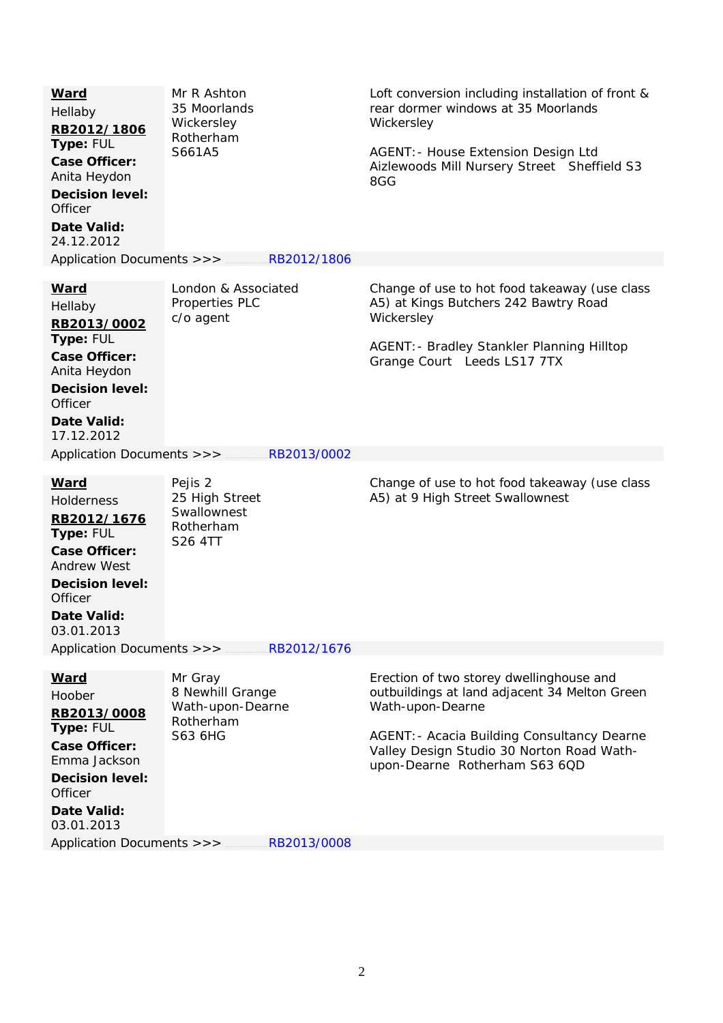| <b>Ward</b><br>Hellaby<br>RB2012/1806<br>Type: FUL<br><b>Case Officer:</b><br>Anita Heydon<br><b>Decision level:</b><br>Officer<br>Date Valid:<br>24.12.2012                 | Mr R Ashton<br>35 Moorlands<br>Wickersley<br>Rotherham<br>S661A5        | Loft conversion including installation of front &<br>rear dormer windows at 35 Moorlands<br>Wickersley<br>AGENT: - House Extension Design Ltd<br>Aizlewoods Mill Nursery Street Sheffield S3<br>8GG                                        |
|------------------------------------------------------------------------------------------------------------------------------------------------------------------------------|-------------------------------------------------------------------------|--------------------------------------------------------------------------------------------------------------------------------------------------------------------------------------------------------------------------------------------|
| Application Documents >>>                                                                                                                                                    | RB2012/1806                                                             |                                                                                                                                                                                                                                            |
| <u>Ward</u><br>Hellaby<br>RB2013/0002<br>Type: FUL<br><b>Case Officer:</b><br>Anita Heydon<br><b>Decision level:</b><br>Officer<br>Date Valid:                               | London & Associated<br>Properties PLC<br>c/o agent                      | Change of use to hot food takeaway (use class<br>A5) at Kings Butchers 242 Bawtry Road<br>Wickersley<br>AGENT: - Bradley Stankler Planning Hilltop<br>Grange Court Leeds LS17 7TX                                                          |
| 17.12.2012                                                                                                                                                                   |                                                                         |                                                                                                                                                                                                                                            |
| Application Documents >>>                                                                                                                                                    | RB2013/0002                                                             |                                                                                                                                                                                                                                            |
| <u>Ward</u><br><b>Holderness</b><br>RB2012/1676<br>Type: FUL<br><b>Case Officer:</b><br><b>Andrew West</b><br><b>Decision level:</b><br>Officer<br>Date Valid:<br>03.01.2013 | Pejis 2<br>25 High Street<br>Swallownest<br>Rotherham<br>S26 4TT        | Change of use to hot food takeaway (use class<br>A5) at 9 High Street Swallownest                                                                                                                                                          |
| Application Documents >>>                                                                                                                                                    | RB2012/1676                                                             |                                                                                                                                                                                                                                            |
| <u>Ward</u><br>Hoober<br>RB2013/0008<br>Type: FUL<br><b>Case Officer:</b><br>Emma Jackson<br><b>Decision level:</b><br>Officer<br>Date Valid:<br>03.01.2013                  | Mr Gray<br>8 Newhill Grange<br>Wath-upon-Dearne<br>Rotherham<br>S63 6HG | Erection of two storey dwellinghouse and<br>outbuildings at land adjacent 34 Melton Green<br>Wath-upon-Dearne<br>AGENT: - Acacia Building Consultancy Dearne<br>Valley Design Studio 30 Norton Road Wath-<br>upon-Dearne Rotherham S63 6QD |
| Application Documents >>>                                                                                                                                                    | RB2013/0008                                                             |                                                                                                                                                                                                                                            |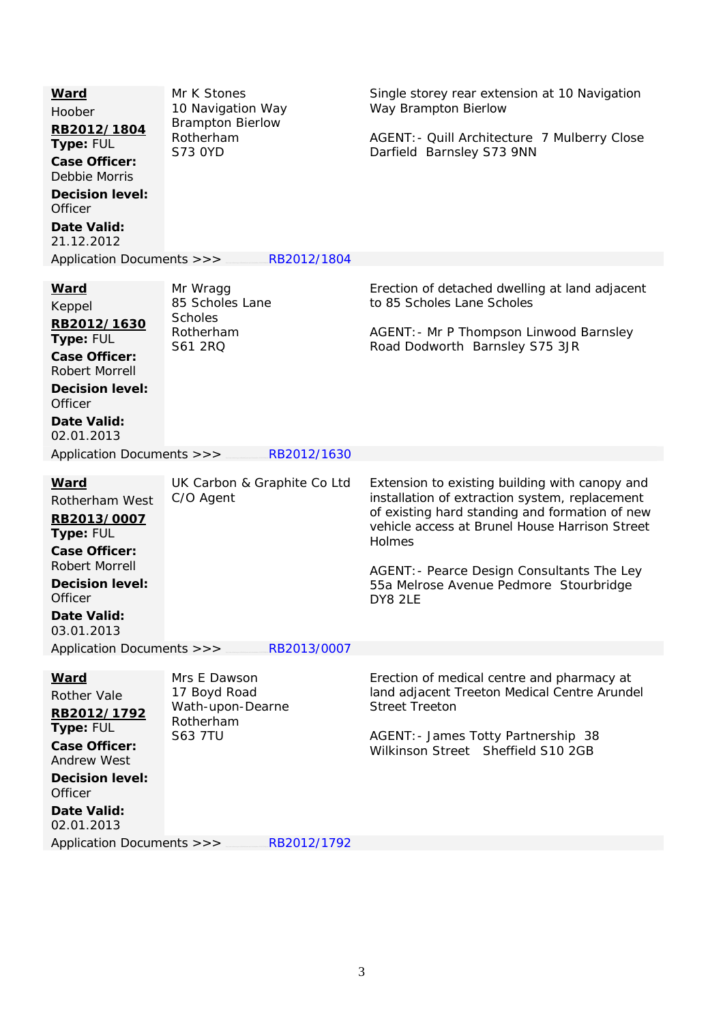| <b>Ward</b><br>Hoober<br>RB2012/1804<br>Type: FUL<br><b>Case Officer:</b><br>Debbie Morris<br><b>Decision level:</b><br>Officer<br>Date Valid:<br>21.12.2012                  | Mr K Stones<br>10 Navigation Way<br><b>Brampton Bierlow</b><br>Rotherham<br><b>S73 OYD</b> | Single storey rear extension at 10 Navigation<br>Way Brampton Bierlow<br>AGENT: - Quill Architecture 7 Mulberry Close<br>Darfield Barnsley S73 9NN                                                                                                                                                                |  |  |  |
|-------------------------------------------------------------------------------------------------------------------------------------------------------------------------------|--------------------------------------------------------------------------------------------|-------------------------------------------------------------------------------------------------------------------------------------------------------------------------------------------------------------------------------------------------------------------------------------------------------------------|--|--|--|
| Application Documents >>>                                                                                                                                                     | RB2012/1804                                                                                |                                                                                                                                                                                                                                                                                                                   |  |  |  |
| <b>Ward</b><br>Keppel<br>RB2012/1630<br>Type: FUL<br><b>Case Officer:</b><br>Robert Morrell<br><b>Decision level:</b><br>Officer<br>Date Valid:<br>02.01.2013                 | Mr Wragg<br>85 Scholes Lane<br><b>Scholes</b><br>Rotherham<br>S61 2RQ                      | Erection of detached dwelling at land adjacent<br>to 85 Scholes Lane Scholes<br>AGENT: - Mr P Thompson Linwood Barnsley<br>Road Dodworth Barnsley S75 3JR                                                                                                                                                         |  |  |  |
| Application Documents >>>                                                                                                                                                     | RB2012/1630                                                                                |                                                                                                                                                                                                                                                                                                                   |  |  |  |
| <b>Ward</b><br>Rotherham West<br>RB2013/0007<br>Type: FUL<br><b>Case Officer:</b><br>Robert Morrell<br><b>Decision level:</b><br>Officer<br>Date Valid:<br>03.01.2013         | UK Carbon & Graphite Co Ltd<br>C/O Agent                                                   | Extension to existing building with canopy and<br>installation of extraction system, replacement<br>of existing hard standing and formation of new<br>vehicle access at Brunel House Harrison Street<br>Holmes<br>AGENT: - Pearce Design Consultants The Ley<br>55a Melrose Avenue Pedmore Stourbridge<br>DY8 2LE |  |  |  |
| Application Documents >>><br>RB2013/0007                                                                                                                                      |                                                                                            |                                                                                                                                                                                                                                                                                                                   |  |  |  |
| <b>Ward</b><br><b>Rother Vale</b><br>RB2012/1792<br>Type: FUL<br><b>Case Officer:</b><br><b>Andrew West</b><br><b>Decision level:</b><br>Officer<br>Date Valid:<br>02.01.2013 | Mrs E Dawson<br>17 Boyd Road<br>Wath-upon-Dearne<br>Rotherham<br><b>S63 7TU</b>            | Erection of medical centre and pharmacy at<br>land adjacent Treeton Medical Centre Arundel<br><b>Street Treeton</b><br>AGENT: - James Totty Partnership 38<br>Wilkinson Street Sheffield S10 2GB                                                                                                                  |  |  |  |
| Application Documents >>><br>RB2012/1792                                                                                                                                      |                                                                                            |                                                                                                                                                                                                                                                                                                                   |  |  |  |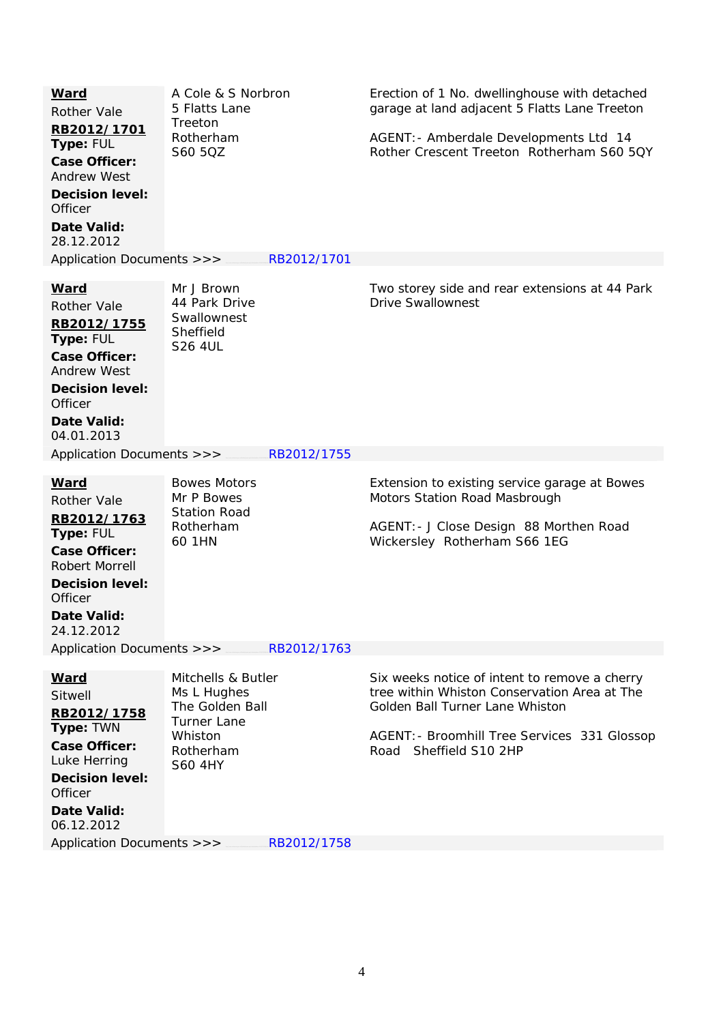| A Cole & S Norbron<br>5 Flatts Lane<br>Treeton<br>Rotherham<br>S60 5QZ                                               | Erection of 1 No. dwellinghouse with detached<br>garage at land adjacent 5 Flatts Lane Treeton<br>AGENT: - Amberdale Developments Ltd 14<br>Rother Crescent Treeton Rotherham S60 5QY                         |  |  |  |  |
|----------------------------------------------------------------------------------------------------------------------|---------------------------------------------------------------------------------------------------------------------------------------------------------------------------------------------------------------|--|--|--|--|
| RB2012/1701<br>Application Documents >>>                                                                             |                                                                                                                                                                                                               |  |  |  |  |
| Mr J Brown<br>44 Park Drive<br>Swallownest<br>Sheffield<br><b>S26 4UL</b>                                            | Two storey side and rear extensions at 44 Park<br><b>Drive Swallownest</b>                                                                                                                                    |  |  |  |  |
| RB2012/1755<br>Application Documents >>>                                                                             |                                                                                                                                                                                                               |  |  |  |  |
| <b>Bowes Motors</b><br>Mr P Bowes<br><b>Station Road</b><br>Rotherham<br>60 1HN                                      | Extension to existing service garage at Bowes<br>Motors Station Road Masbrough<br>AGENT: - J Close Design 88 Morthen Road<br>Wickersley Rotherham S66 1EG                                                     |  |  |  |  |
| Application Documents >>><br>RB2012/1763                                                                             |                                                                                                                                                                                                               |  |  |  |  |
| Mitchells & Butler<br>Ms L Hughes<br>The Golden Ball<br><b>Turner Lane</b><br>Whiston<br>Rotherham<br><b>S60 4HY</b> | Six weeks notice of intent to remove a cherry<br>tree within Whiston Conservation Area at The<br>Golden Ball Turner Lane Whiston<br>AGENT: - Broomhill Tree Services 331 Glossop<br>Sheffield S10 2HP<br>Road |  |  |  |  |
|                                                                                                                      | Application Documents >>><br>RB2012/1758                                                                                                                                                                      |  |  |  |  |